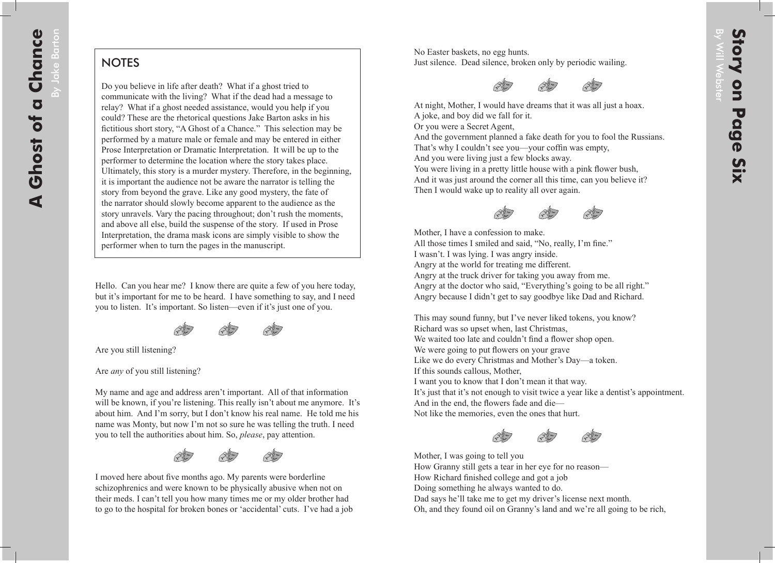By Jake Barton

3y Jake Barton

## **NOTES**

Do you believe in life after death? What if a ghost tried to communicate with the living? What if the dead had a message to relay? What if a ghost needed assistance, would you help if you could? These are the rhetorical questions Jake Barton asks in his fictitious short story, "A Ghost of a Chance." This selection may be performed by a mature male or female and may be entered in either Prose Interpretation or Dramatic Interpretation. It will be up to the performer to determine the location where the story takes place. Ultimately, this story is a murder mystery. Therefore, in the beginning, it is important the audience not be aware the narrator is telling the story from beyond the grave. Like any good mystery, the fate of the narrator should slowly become apparent to the audience as the story unravels. Vary the pacing throughout; don't rush the moments, and above all else, build the suspense of the story. If used in Prose Interpretation, the drama mask icons are simply visible to show the performer when to turn the pages in the manuscript.

Hello. Can you hear me? I know there are quite a few of you here today, but it's important for me to be heard. I have something to say, and I need you to listen. It's important. So listen—even if it's just one of you.



Are you still listening?

Are *any* of you still listening?

My name and age and address aren't important. All of that information will be known, if you're listening. This really isn't about me anymore. It's about him. And I'm sorry, but I don't know his real name. He told me his name was Monty, but now I'm not so sure he was telling the truth. I need you to tell the authorities about him. So, *please*, pay attention.



I moved here about five months ago. My parents were borderline schizophrenics and were known to be physically abusive when not on their meds. I can't tell you how many times me or my older brother had to go to the hospital for broken bones or 'accidental' cuts. I've had a job